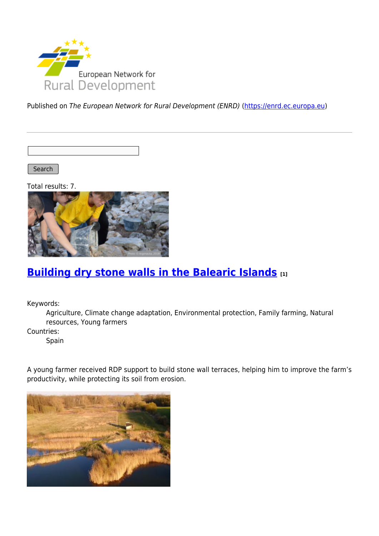

Published on The European Network for Rural Development (ENRD) [\(https://enrd.ec.europa.eu](https://enrd.ec.europa.eu))

Search

Total results: 7.



## **[Building dry stone walls in the Balearic Islands](https://enrd.ec.europa.eu/projects-practice/building-dry-stone-walls-balearic-islands_en) [1]**

Keywords:

Agriculture, Climate change adaptation, Environmental protection, Family farming, Natural resources, Young farmers

Countries:

Spain

A young farmer received RDP support to build stone wall terraces, helping him to improve the farm's productivity, while protecting its soil from erosion.

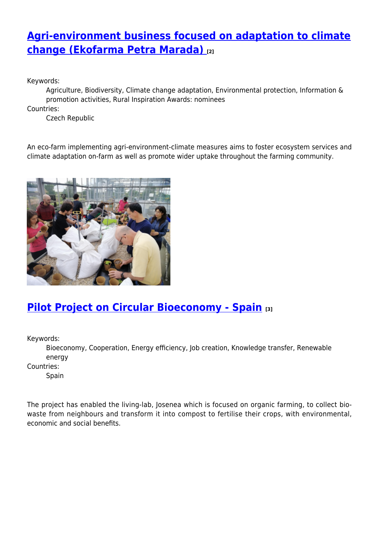# **[Agri-environment business focused on adaptation to climate](https://enrd.ec.europa.eu/projects-practice/agri-environment-business-focused-adaptation-climate-change-ekofarma-petra-marada_en) [change \(Ekofarma Petra Marada\)](https://enrd.ec.europa.eu/projects-practice/agri-environment-business-focused-adaptation-climate-change-ekofarma-petra-marada_en) [2]**

Keywords:

Agriculture, Biodiversity, Climate change adaptation, Environmental protection, Information & promotion activities, Rural Inspiration Awards: nominees

Countries:

Czech Republic

An eco-farm implementing agri-environment-climate measures aims to foster ecosystem services and climate adaptation on-farm as well as promote wider uptake throughout the farming community.



## **[Pilot Project on Circular Bioeconomy - Spain](https://enrd.ec.europa.eu/projects-practice/re-thinking-management-organic-waste_en) [3]**

Keywords:

Bioeconomy, Cooperation, Energy efficiency, Job creation, Knowledge transfer, Renewable energy

Countries:

Spain

The project has enabled the living-lab, Josenea which is focused on organic farming, to collect biowaste from neighbours and transform it into compost to fertilise their crops, with environmental, economic and social benefits.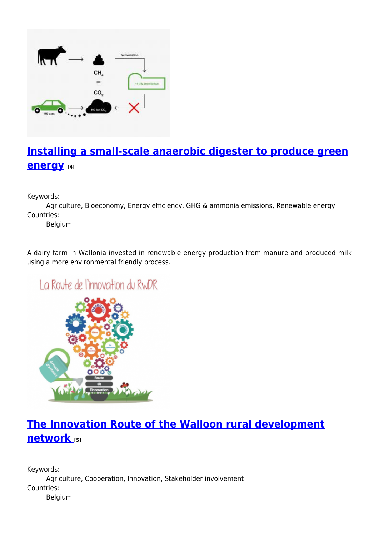

# **[Installing a small-scale anaerobic digester to produce green](https://enrd.ec.europa.eu/projects-practice/installing-small-scale-anaerobic-digester-produce-green-energy_en) [energy](https://enrd.ec.europa.eu/projects-practice/installing-small-scale-anaerobic-digester-produce-green-energy_en) [4]**

Keywords:

Agriculture, Bioeconomy, Energy efficiency, GHG & ammonia emissions, Renewable energy Countries:

Belgium

A dairy farm in Wallonia invested in renewable energy production from manure and produced milk using a more environmental friendly process.

La Route de l'innovation du RWDR



# **[The Innovation Route of the Walloon rural development](https://enrd.ec.europa.eu/projects-practice/innovation-route-walloon-rural-development-network_en) [network](https://enrd.ec.europa.eu/projects-practice/innovation-route-walloon-rural-development-network_en) [5]**

Keywords: Agriculture, Cooperation, Innovation, Stakeholder involvement Countries: Belgium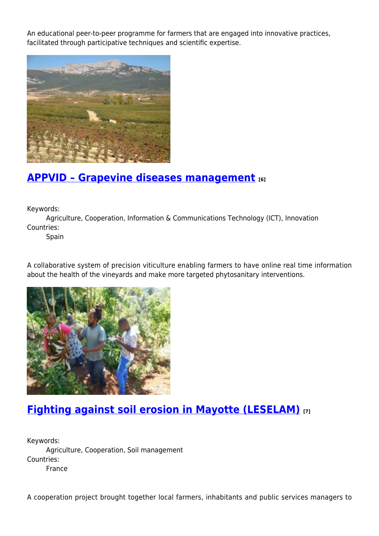An educational peer-to-peer programme for farmers that are engaged into innovative practices, facilitated through participative techniques and scientific expertise.



#### **[APPVID – Grapevine diseases management](https://enrd.ec.europa.eu/projects-practice/appvid-grapevine-diseases-management_en) [6]**

Keywords:

Agriculture, Cooperation, Information & Communications Technology (ICT), Innovation Countries:

Spain

A collaborative system of precision viticulture enabling farmers to have online real time information about the health of the vineyards and make more targeted phytosanitary interventions.



### **[Fighting against soil erosion in Mayotte \(LESELAM\)](https://enrd.ec.europa.eu/projects-practice/fighting-against-soil-erosion-mayotte-leselam_en) [7]**

Keywords: Agriculture, Cooperation, Soil management Countries: France

A cooperation project brought together local farmers, inhabitants and public services managers to